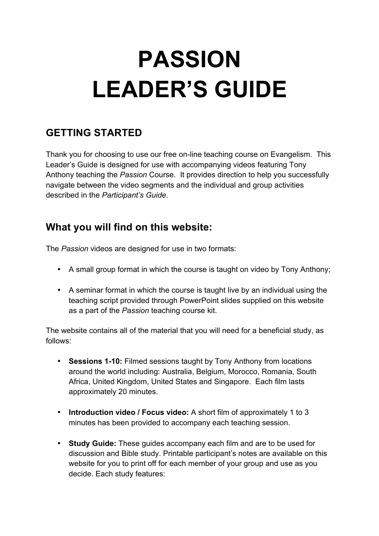# **PASSION LEADER'S GUIDE**

# **GETTING STARTED**

Thank you for choosing to use our free on-line teaching course on Evangelism. This Leader's Guide is designed for use with accompanying videos featuring Tony Anthony teaching the *Passion* Course. It provides direction to help you successfully navigate between the video segments and the individual and group activities described in the *Participant's Guide*.

### **What you will find on this website:**

The *Passion* videos are designed for use in two formats:

- A small group format in which the course is taught on video by Tony Anthony;
- A seminar format in which the course is taught live by an individual using the teaching script provided through PowerPoint slides supplied on this website as a part of the *Passion* teaching course kit.

The website contains all of the material that you will need for a beneficial study, as follows:

- **Sessions 1-10:** Filmed sessions taught by Tony Anthony from locations around the world including: Australia, Belgium, Morocco, Romania, South Africa, United Kingdom, United States and Singapore. Each film lasts approximately 20 minutes.
- **Introduction video / Focus video:** A short film of approximately 1 to 3 minutes has been provided to accompany each teaching session.
- **Study Guide:** These guides accompany each film and are to be used for discussion and Bible study. Printable participant's notes are available on this website for you to print off for each member of your group and use as you decide. Each study features: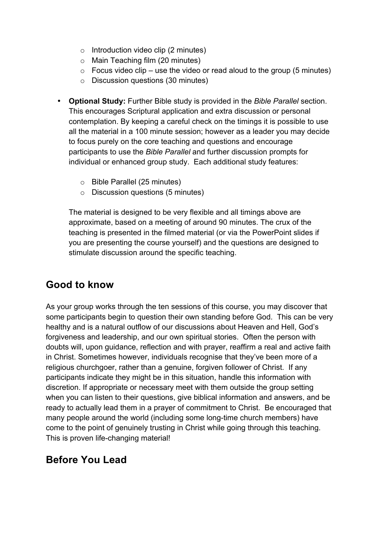- $\circ$  Introduction video clip (2 minutes)
- o Main Teaching film (20 minutes)
- $\circ$  Focus video clip use the video or read aloud to the group (5 minutes)
- o Discussion questions (30 minutes)
- **Optional Study:** Further Bible study is provided in the *Bible Parallel* section. This encourages Scriptural application and extra discussion or personal contemplation. By keeping a careful check on the timings it is possible to use all the material in a 100 minute session; however as a leader you may decide to focus purely on the core teaching and questions and encourage participants to use the *Bible Parallel* and further discussion prompts for individual or enhanced group study. Each additional study features:
	- o Bible Parallel (25 minutes)
	- o Discussion questions (5 minutes)

The material is designed to be very flexible and all timings above are approximate, based on a meeting of around 90 minutes. The crux of the teaching is presented in the filmed material (or via the PowerPoint slides if you are presenting the course yourself) and the questions are designed to stimulate discussion around the specific teaching.

## **Good to know**

As your group works through the ten sessions of this course, you may discover that some participants begin to question their own standing before God. This can be very healthy and is a natural outflow of our discussions about Heaven and Hell, God's forgiveness and leadership, and our own spiritual stories. Often the person with doubts will, upon guidance, reflection and with prayer, reaffirm a real and active faith in Christ. Sometimes however, individuals recognise that they've been more of a religious churchgoer, rather than a genuine, forgiven follower of Christ. If any participants indicate they might be in this situation, handle this information with discretion. If appropriate or necessary meet with them outside the group setting when you can listen to their questions, give biblical information and answers, and be ready to actually lead them in a prayer of commitment to Christ. Be encouraged that many people around the world (including some long-time church members) have come to the point of genuinely trusting in Christ while going through this teaching. This is proven life-changing material!

### **Before You Lead**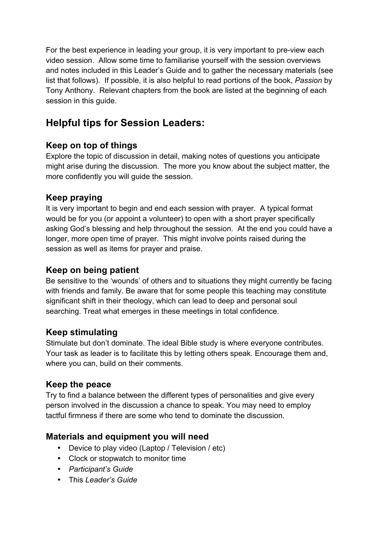For the best experience in leading your group, it is very important to pre-view each video session. Allow some time to familiarise yourself with the session overviews and notes included in this Leader's Guide and to gather the necessary materials (see list that follows). If possible, it is also helpful to read portions of the book, *Passion* by Tony Anthony. Relevant chapters from the book are listed at the beginning of each session in this guide.

## **Helpful tips for Session Leaders:**

### **Keep on top of things**

Explore the topic of discussion in detail, making notes of questions you anticipate might arise during the discussion. The more you know about the subject matter, the more confidently you will guide the session.

### **Keep praying**

It is very important to begin and end each session with prayer. A typical format would be for you (or appoint a volunteer) to open with a short prayer specifically asking God's blessing and help throughout the session. At the end you could have a longer, more open time of prayer. This might involve points raised during the session as well as items for prayer and praise.

### **Keep on being patient**

Be sensitive to the 'wounds' of others and to situations they might currently be facing with friends and family. Be aware that for some people this teaching may constitute significant shift in their theology, which can lead to deep and personal soul searching. Treat what emerges in these meetings in total confidence.

### **Keep stimulating**

Stimulate but don't dominate. The ideal Bible study is where everyone contributes. Your task as leader is to facilitate this by letting others speak. Encourage them and, where you can, build on their comments.

### **Keep the peace**

Try to find a balance between the different types of personalities and give every person involved in the discussion a chance to speak. You may need to employ tactful firmness if there are some who tend to dominate the discussion.

### **Materials and equipment you will need**

- Device to play video (Laptop / Television / etc)
- Clock or stopwatch to monitor time
- *Participant's Guide*
- This *Leader's Guide*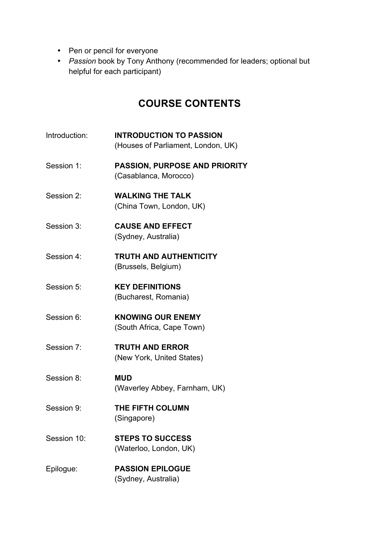- Pen or pencil for everyone
- *Passion* book by Tony Anthony (recommended for leaders; optional but helpful for each participant)

## **COURSE CONTENTS**

- Introduction: **INTRODUCTION TO PASSION** (Houses of Parliament, London, UK)
- Session 1: **PASSION, PURPOSE AND PRIORITY** (Casablanca, Morocco)
- Session 2: **WALKING THE TALK** (China Town, London, UK)
- Session 3: **CAUSE AND EFFECT** (Sydney, Australia)
- Session 4: **TRUTH AND AUTHENTICITY** (Brussels, Belgium)
- Session 5: **KEY DEFINITIONS** (Bucharest, Romania)
- Session 6: **KNOWING OUR ENEMY** (South Africa, Cape Town)
- Session 7: **TRUTH AND ERROR** (New York, United States)
- Session 8: **MUD** (Waverley Abbey, Farnham, UK)
- Session 9: **THE FIFTH COLUMN** (Singapore)
- Session 10: **STEPS TO SUCCESS** (Waterloo, London, UK)
- Epilogue: **PASSION EPILOGUE** (Sydney, Australia)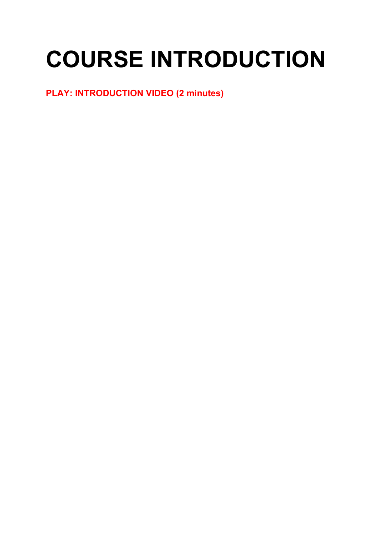# **COURSE INTRODUCTION**

## **PLAY: INTRODUCTION VIDEO (2 minutes)**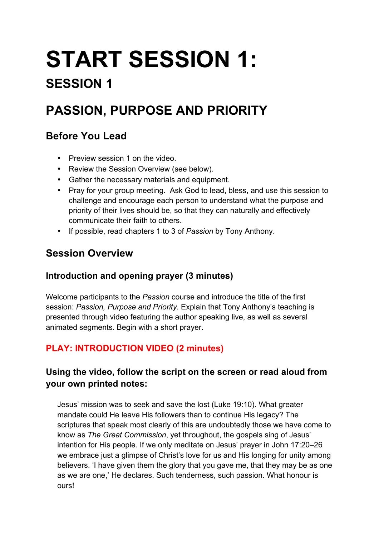# **START SESSION 1:**

# **SESSION 1**

# **PASSION, PURPOSE AND PRIORITY**

## **Before You Lead**

- Preview session 1 on the video.
- Review the Session Overview (see below).
- Gather the necessary materials and equipment.
- Pray for your group meeting. Ask God to lead, bless, and use this session to challenge and encourage each person to understand what the purpose and priority of their lives should be, so that they can naturally and effectively communicate their faith to others.
- If possible, read chapters 1 to 3 of *Passion* by Tony Anthony.

# **Session Overview**

### **Introduction and opening prayer (3 minutes)**

Welcome participants to the *Passion* course and introduce the title of the first session: *Passion, Purpose and Priority*. Explain that Tony Anthony's teaching is presented through video featuring the author speaking live, as well as several animated segments. Begin with a short prayer.

## **PLAY: INTRODUCTION VIDEO (2 minutes)**

### **Using the video, follow the script on the screen or read aloud from your own printed notes:**

Jesus' mission was to seek and save the lost (Luke 19:10). What greater mandate could He leave His followers than to continue His legacy? The scriptures that speak most clearly of this are undoubtedly those we have come to know as *The Great Commission*, yet throughout, the gospels sing of Jesus' intention for His people. If we only meditate on Jesus' prayer in John 17:20–26 we embrace just a glimpse of Christ's love for us and His longing for unity among believers. 'I have given them the glory that you gave me, that they may be as one as we are one,' He declares. Such tenderness, such passion. What honour is ours!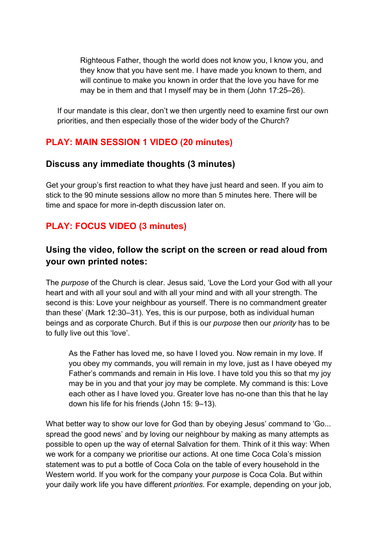Righteous Father, though the world does not know you, I know you, and they know that you have sent me. I have made you known to them, and will continue to make you known in order that the love you have for me may be in them and that I myself may be in them (John 17:25–26).

If our mandate is this clear, don't we then urgently need to examine first our own priorities, and then especially those of the wider body of the Church?

### **PLAY: MAIN SESSION 1 VIDEO (20 minutes)**

### **Discuss any immediate thoughts (3 minutes)**

Get your group's first reaction to what they have just heard and seen. If you aim to stick to the 90 minute sessions allow no more than 5 minutes here. There will be time and space for more in-depth discussion later on.

### **PLAY: FOCUS VIDEO (3 minutes)**

### **Using the video, follow the script on the screen or read aloud from your own printed notes:**

The *purpose* of the Church is clear. Jesus said, 'Love the Lord your God with all your heart and with all your soul and with all your mind and with all your strength. The second is this: Love your neighbour as yourself. There is no commandment greater than these' (Mark 12:30–31). Yes, this is our purpose, both as individual human beings and as corporate Church. But if this is our *purpose* then our *priority* has to be to fully live out this 'love'.

As the Father has loved me, so have I loved you. Now remain in my love. If you obey my commands, you will remain in my love, just as I have obeyed my Father's commands and remain in His love. I have told you this so that my joy may be in you and that your joy may be complete. My command is this: Love each other as I have loved you. Greater love has no-one than this that he lay down his life for his friends (John 15: 9–13).

What better way to show our love for God than by obeying Jesus' command to 'Go... spread the good news' and by loving our neighbour by making as many attempts as possible to open up the way of eternal Salvation for them. Think of it this way: When we work for a company we prioritise our actions. At one time Coca Cola's mission statement was to put a bottle of Coca Cola on the table of every household in the Western world. If you work for the company your *purpose* is Coca Cola. But within your daily work life you have different *priorities*. For example, depending on your job,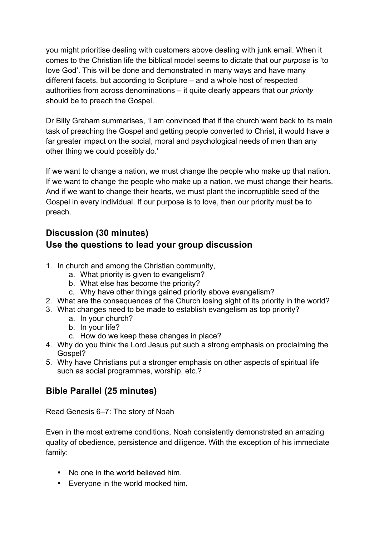you might prioritise dealing with customers above dealing with junk email. When it comes to the Christian life the biblical model seems to dictate that our *purpose* is 'to love God'. This will be done and demonstrated in many ways and have many different facets, but according to Scripture – and a whole host of respected authorities from across denominations – it quite clearly appears that our *priority* should be to preach the Gospel.

Dr Billy Graham summarises, 'I am convinced that if the church went back to its main task of preaching the Gospel and getting people converted to Christ, it would have a far greater impact on the social, moral and psychological needs of men than any other thing we could possibly do.'

If we want to change a nation, we must change the people who make up that nation. If we want to change the people who make up a nation, we must change their hearts. And if we want to change their hearts, we must plant the incorruptible seed of the Gospel in every individual. If our purpose is to love, then our priority must be to preach.

### **Discussion (30 minutes) Use the questions to lead your group discussion**

- 1. In church and among the Christian community,
	- a. What priority is given to evangelism?
	- b. What else has become the priority?
	- c. Why have other things gained priority above evangelism?
- 2. What are the consequences of the Church losing sight of its priority in the world?
- 3. What changes need to be made to establish evangelism as top priority?
	- a. In your church?
	- b. In your life?
	- c. How do we keep these changes in place?
- 4. Why do you think the Lord Jesus put such a strong emphasis on proclaiming the Gospel?
- 5. Why have Christians put a stronger emphasis on other aspects of spiritual life such as social programmes, worship, etc.?

### **Bible Parallel (25 minutes)**

Read Genesis 6–7: The story of Noah

Even in the most extreme conditions, Noah consistently demonstrated an amazing quality of obedience, persistence and diligence. With the exception of his immediate family:

- No one in the world believed him.
- Everyone in the world mocked him.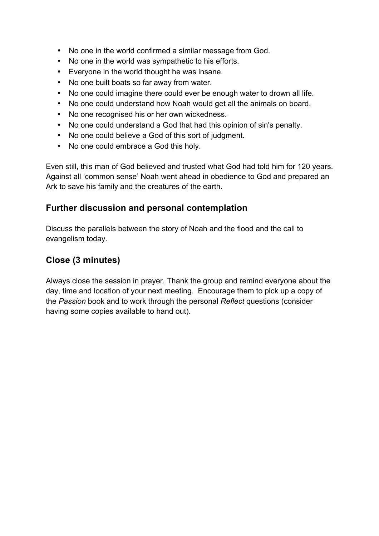- No one in the world confirmed a similar message from God.
- No one in the world was sympathetic to his efforts.
- Everyone in the world thought he was insane.
- No one built boats so far away from water.
- No one could imagine there could ever be enough water to drown all life.
- No one could understand how Noah would get all the animals on board.
- No one recognised his or her own wickedness.
- No one could understand a God that had this opinion of sin's penalty.
- No one could believe a God of this sort of judgment.
- No one could embrace a God this holy.

Even still, this man of God believed and trusted what God had told him for 120 years. Against all 'common sense' Noah went ahead in obedience to God and prepared an Ark to save his family and the creatures of the earth.

### **Further discussion and personal contemplation**

Discuss the parallels between the story of Noah and the flood and the call to evangelism today.

### **Close (3 minutes)**

Always close the session in prayer. Thank the group and remind everyone about the day, time and location of your next meeting. Encourage them to pick up a copy of the *Passion* book and to work through the personal *Reflect* questions (consider having some copies available to hand out).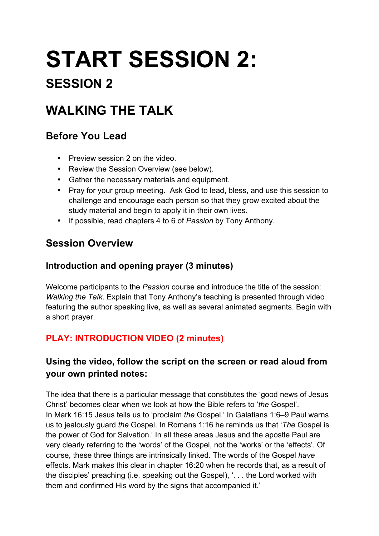# **START SESSION 2:**

# **SESSION 2**

# **WALKING THE TALK**

## **Before You Lead**

- Preview session 2 on the video
- Review the Session Overview (see below).
- Gather the necessary materials and equipment.
- Pray for your group meeting. Ask God to lead, bless, and use this session to challenge and encourage each person so that they grow excited about the study material and begin to apply it in their own lives.
- If possible, read chapters 4 to 6 of *Passion* by Tony Anthony.

# **Session Overview**

### **Introduction and opening prayer (3 minutes)**

Welcome participants to the *Passion* course and introduce the title of the session: *Walking the Talk*. Explain that Tony Anthony's teaching is presented through video featuring the author speaking live, as well as several animated segments. Begin with a short prayer.

## **PLAY: INTRODUCTION VIDEO (2 minutes)**

### **Using the video, follow the script on the screen or read aloud from your own printed notes:**

The idea that there is a particular message that constitutes the 'good news of Jesus Christ' becomes clear when we look at how the Bible refers to '*the* Gospel'. In Mark 16:15 Jesus tells us to 'proclaim *the* Gospel.' In Galatians 1:6–9 Paul warns us to jealously guard *the* Gospel. In Romans 1:16 he reminds us that '*The* Gospel is the power of God for Salvation.' In all these areas Jesus and the apostle Paul are very clearly referring to the 'words' of the Gospel, not the 'works' or the 'effects'. Of course, these three things are intrinsically linked. The words of the Gospel *have*  effects. Mark makes this clear in chapter 16:20 when he records that, as a result of the disciples' preaching (i.e. speaking out the Gospel), '. . . the Lord worked with them and confirmed His word by the signs that accompanied it.'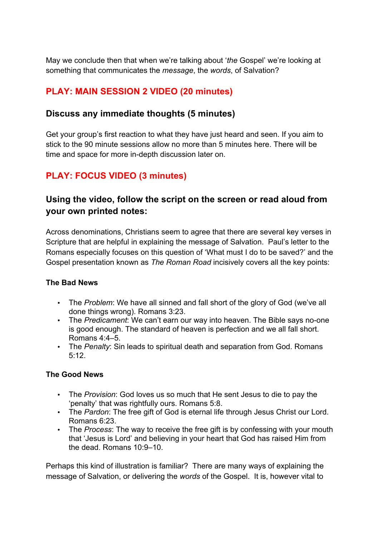May we conclude then that when we're talking about '*the* Gospel' we're looking at something that communicates the *message*, the *words*, of Salvation?

### **PLAY: MAIN SESSION 2 VIDEO (20 minutes)**

### **Discuss any immediate thoughts (5 minutes)**

Get your group's first reaction to what they have just heard and seen. If you aim to stick to the 90 minute sessions allow no more than 5 minutes here. There will be time and space for more in-depth discussion later on.

### **PLAY: FOCUS VIDEO (3 minutes)**

### **Using the video, follow the script on the screen or read aloud from your own printed notes:**

Across denominations, Christians seem to agree that there are several key verses in Scripture that are helpful in explaining the message of Salvation. Paul's letter to the Romans especially focuses on this question of 'What must I do to be saved?' and the Gospel presentation known as *The Roman Road* incisively covers all the key points:

#### **The Bad News**

- The *Problem*: We have all sinned and fall short of the glory of God (we've all done things wrong). Romans 3:23.
- The *Predicament*: We can't earn our way into heaven. The Bible says no-one is good enough. The standard of heaven is perfection and we all fall short. Romans 4:4–5.
- The *Penalty*: Sin leads to spiritual death and separation from God. Romans 5:12.

#### **The Good News**

- The *Provision*: God loves us so much that He sent Jesus to die to pay the 'penalty' that was rightfully ours. Romans 5:8.
- The *Pardon*: The free gift of God is eternal life through Jesus Christ our Lord. Romans 6:23.
- The *Process*: The way to receive the free gift is by confessing with your mouth that 'Jesus is Lord' and believing in your heart that God has raised Him from the dead. Romans 10:9–10.

Perhaps this kind of illustration is familiar? There are many ways of explaining the message of Salvation, or delivering the *words* of the Gospel. It is, however vital to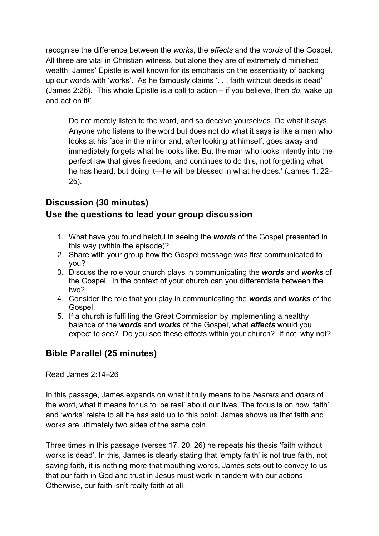recognise the difference between the *works*, the *effects* and the *words* of the Gospel. All three are vital in Christian witness, but alone they are of extremely diminished wealth. James' Epistle is well known for its emphasis on the essentiality of backing up our words with 'works'. As he famously claims '. . . faith without deeds is dead' (James 2:26). This whole Epistle is a call to action – if you believe, then *do*, wake up and act on it!'

Do not merely listen to the word, and so deceive yourselves. Do what it says. Anyone who listens to the word but does not do what it says is like a man who looks at his face in the mirror and, after looking at himself, goes away and immediately forgets what he looks like. But the man who looks intently into the perfect law that gives freedom, and continues to do this, not forgetting what he has heard, but doing it—he will be blessed in what he does.' (James 1: 22– 25).

### **Discussion (30 minutes) Use the questions to lead your group discussion**

- 1. What have you found helpful in seeing the *words* of the Gospel presented in this way (within the episode)?
- 2. Share with your group how the Gospel message was first communicated to you?
- 3. Discuss the role your church plays in communicating the *words* and *works* of the Gospel. In the context of your church can you differentiate between the two?
- 4. Consider the role that you play in communicating the *words* and *works* of the Gospel.
- 5. If a church is fulfilling the Great Commission by implementing a healthy balance of the *words* and *works* of the Gospel, what *effects* would you expect to see? Do you see these effects within your church? If not, why not?

### **Bible Parallel (25 minutes)**

Read James 2:14–26

In this passage, James expands on what it truly means to be *hearers* and *doers* of the word, what it means for us to 'be real' about our lives. The focus is on how 'faith' and 'works' relate to all he has said up to this point. James shows us that faith and works are ultimately two sides of the same coin.

Three times in this passage (verses 17, 20, 26) he repeats his thesis 'faith without works is dead'. In this, James is clearly stating that 'empty faith' is not true faith, not saving faith, it is nothing more that mouthing words. James sets out to convey to us that our faith in God and trust in Jesus must work in tandem with our actions. Otherwise, our faith isn't really faith at all.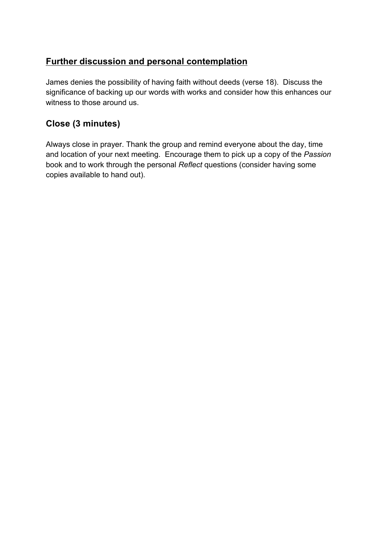### **Further discussion and personal contemplation**

James denies the possibility of having faith without deeds (verse 18). Discuss the significance of backing up our words with works and consider how this enhances our witness to those around us.

### **Close (3 minutes)**

Always close in prayer. Thank the group and remind everyone about the day, time and location of your next meeting. Encourage them to pick up a copy of the *Passion*  book and to work through the personal *Reflect* questions (consider having some copies available to hand out).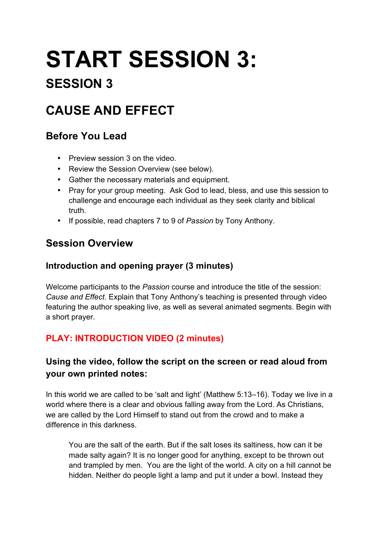# **START SESSION 3:**

# **SESSION 3**

# **CAUSE AND EFFECT**

## **Before You Lead**

- Preview session 3 on the video.
- Review the Session Overview (see below).
- Gather the necessary materials and equipment.
- Pray for your group meeting. Ask God to lead, bless, and use this session to challenge and encourage each individual as they seek clarity and biblical truth.
- If possible, read chapters 7 to 9 of *Passion* by Tony Anthony.

# **Session Overview**

### **Introduction and opening prayer (3 minutes)**

Welcome participants to the *Passion* course and introduce the title of the session: *Cause and Effect*. Explain that Tony Anthony's teaching is presented through video featuring the author speaking live, as well as several animated segments. Begin with a short prayer.

### **PLAY: INTRODUCTION VIDEO (2 minutes)**

### **Using the video, follow the script on the screen or read aloud from your own printed notes:**

In this world we are called to be 'salt and light' (Matthew 5:13–16). Today we live in a world where there is a clear and obvious falling away from the Lord. As Christians, we are called by the Lord Himself to stand out from the crowd and to make a difference in this darkness.

You are the salt of the earth. But if the salt loses its saltiness, how can it be made salty again? It is no longer good for anything, except to be thrown out and trampled by men. You are the light of the world. A city on a hill cannot be hidden. Neither do people light a lamp and put it under a bowl. Instead they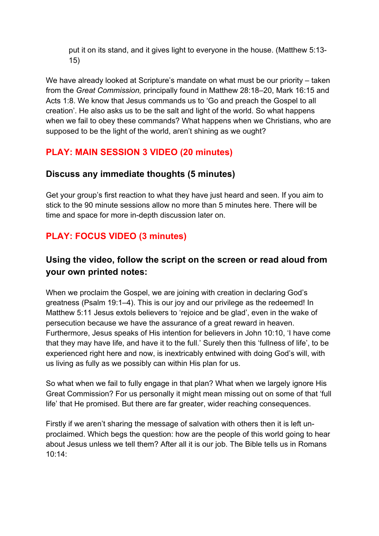put it on its stand, and it gives light to everyone in the house. (Matthew 5:13- 15)

We have already looked at Scripture's mandate on what must be our priority – taken from the *Great Commission,* principally found in Matthew 28:18–20, Mark 16:15 and Acts 1:8. We know that Jesus commands us to 'Go and preach the Gospel to all creation'. He also asks us to be the salt and light of the world. So what happens when we fail to obey these commands? What happens when we Christians, who are supposed to be the light of the world, aren't shining as we ought?

### **PLAY: MAIN SESSION 3 VIDEO (20 minutes)**

### **Discuss any immediate thoughts (5 minutes)**

Get your group's first reaction to what they have just heard and seen. If you aim to stick to the 90 minute sessions allow no more than 5 minutes here. There will be time and space for more in-depth discussion later on.

### **PLAY: FOCUS VIDEO (3 minutes)**

### **Using the video, follow the script on the screen or read aloud from your own printed notes:**

When we proclaim the Gospel, we are joining with creation in declaring God's greatness (Psalm 19:1–4). This is our joy and our privilege as the redeemed! In Matthew 5:11 Jesus extols believers to 'rejoice and be glad', even in the wake of persecution because we have the assurance of a great reward in heaven. Furthermore, Jesus speaks of His intention for believers in John 10:10, 'I have come that they may have life, and have it to the full.' Surely then this 'fullness of life', to be experienced right here and now, is inextricably entwined with doing God's will, with us living as fully as we possibly can within His plan for us.

So what when we fail to fully engage in that plan? What when we largely ignore His Great Commission? For us personally it might mean missing out on some of that 'full life' that He promised. But there are far greater, wider reaching consequences.

Firstly if we aren't sharing the message of salvation with others then it is left unproclaimed. Which begs the question: how are the people of this world going to hear about Jesus unless we tell them? After all it is our job. The Bible tells us in Romans  $10.14$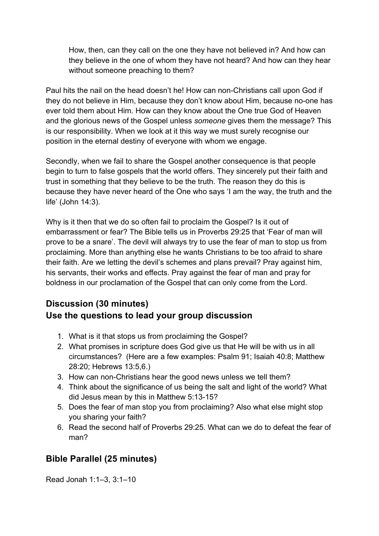How, then, can they call on the one they have not believed in? And how can they believe in the one of whom they have not heard? And how can they hear without someone preaching to them?

Paul hits the nail on the head doesn't he! How can non-Christians call upon God if they do not believe in Him, because they don't know about Him, because no-one has ever told them about Him. How can they know about the One true God of Heaven and the glorious news of the Gospel unless *someone* gives them the message? This is our responsibility. When we look at it this way we must surely recognise our position in the eternal destiny of everyone with whom we engage.

Secondly, when we fail to share the Gospel another consequence is that people begin to turn to false gospels that the world offers. They sincerely put their faith and trust in something that they believe to be the truth. The reason they do this is because they have never heard of the One who says 'I am the way, the truth and the life' (John 14:3).

Why is it then that we do so often fail to proclaim the Gospel? Is it out of embarrassment or fear? The Bible tells us in Proverbs 29:25 that 'Fear of man will prove to be a snare'. The devil will always try to use the fear of man to stop us from proclaiming. More than anything else he wants Christians to be too afraid to share their faith. Are we letting the devil's schemes and plans prevail? Pray against him, his servants, their works and effects. Pray against the fear of man and pray for boldness in our proclamation of the Gospel that can only come from the Lord.

### **Discussion (30 minutes) Use the questions to lead your group discussion**

- 1. What is it that stops us from proclaiming the Gospel?
- 2. What promises in scripture does God give us that He will be with us in all circumstances? (Here are a few examples: Psalm 91; Isaiah 40:8; Matthew 28:20; Hebrews 13:5,6.)
- 3. How can non-Christians hear the good news unless we tell them?
- 4. Think about the significance of us being the salt and light of the world? What did Jesus mean by this in Matthew 5:13-15?
- 5. Does the fear of man stop you from proclaiming? Also what else might stop you sharing your faith?
- 6. Read the second half of Proverbs 29:25. What can we do to defeat the fear of man?

### **Bible Parallel (25 minutes)**

Read Jonah 1:1–3, 3:1–10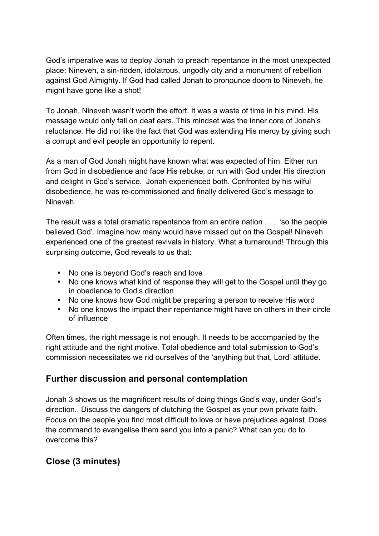God's imperative was to deploy Jonah to preach repentance in the most unexpected place: Nineveh, a sin-ridden, idolatrous, ungodly city and a monument of rebellion against God Almighty. If God had called Jonah to pronounce doom to Nineveh, he might have gone like a shot!

To Jonah, Nineveh wasn't worth the effort. It was a waste of time in his mind. His message would only fall on deaf ears. This mindset was the inner core of Jonah's reluctance. He did not like the fact that God was extending His mercy by giving such a corrupt and evil people an opportunity to repent.

As a man of God Jonah might have known what was expected of him. Either run from God in disobedience and face His rebuke, or run with God under His direction and delight in God's service. Jonah experienced both. Confronted by his wilful disobedience, he was re-commissioned and finally delivered God's message to Nineveh.

The result was a total dramatic repentance from an entire nation . . . 'so the people believed God'. Imagine how many would have missed out on the Gospel! Nineveh experienced one of the greatest revivals in history. What a turnaround! Through this surprising outcome, God reveals to us that:

- No one is beyond God's reach and love
- No one knows what kind of response they will get to the Gospel until they go in obedience to God's direction
- No one knows how God might be preparing a person to receive His word
- No one knows the impact their repentance might have on others in their circle of influence

Often times, the right message is not enough. It needs to be accompanied by the right attitude and the right motive. Total obedience and total submission to God's commission necessitates we rid ourselves of the 'anything but that, Lord' attitude.

### **Further discussion and personal contemplation**

Jonah 3 shows us the magnificent results of doing things God's way, under God's direction. Discuss the dangers of clutching the Gospel as your own private faith. Focus on the people you find most difficult to love or have prejudices against. Does the command to evangelise them send you into a panic? What can you do to overcome this?

### **Close (3 minutes)**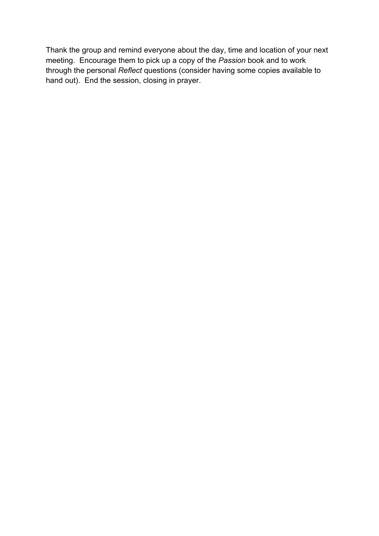Thank the group and remind everyone about the day, time and location of your next meeting. Encourage them to pick up a copy of the *Passion* book and to work through the personal *Reflect* questions (consider having some copies available to hand out). End the session, closing in prayer.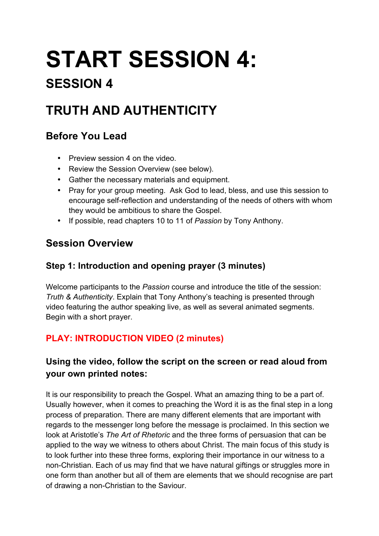# **START SESSION 4:**

# **SESSION 4**

# **TRUTH AND AUTHENTICITY**

## **Before You Lead**

- Preview session 4 on the video.
- Review the Session Overview (see below).
- Gather the necessary materials and equipment.
- Pray for your group meeting. Ask God to lead, bless, and use this session to encourage self-reflection and understanding of the needs of others with whom they would be ambitious to share the Gospel.
- If possible, read chapters 10 to 11 of *Passion* by Tony Anthony.

# **Session Overview**

### **Step 1: Introduction and opening prayer (3 minutes)**

Welcome participants to the *Passion* course and introduce the title of the session: *Truth & Authenticity*. Explain that Tony Anthony's teaching is presented through video featuring the author speaking live, as well as several animated segments. Begin with a short prayer.

## **PLAY: INTRODUCTION VIDEO (2 minutes)**

### **Using the video, follow the script on the screen or read aloud from your own printed notes:**

It is our responsibility to preach the Gospel. What an amazing thing to be a part of. Usually however, when it comes to preaching the Word it is as the final step in a long process of preparation. There are many different elements that are important with regards to the messenger long before the message is proclaimed. In this section we look at Aristotle's *The Art of Rhetoric* and the three forms of persuasion that can be applied to the way we witness to others about Christ. The main focus of this study is to look further into these three forms, exploring their importance in our witness to a non-Christian. Each of us may find that we have natural giftings or struggles more in one form than another but all of them are elements that we should recognise are part of drawing a non-Christian to the Saviour.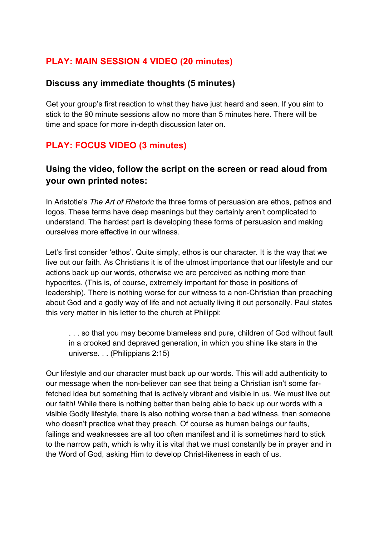### **PLAY: MAIN SESSION 4 VIDEO (20 minutes)**

#### **Discuss any immediate thoughts (5 minutes)**

Get your group's first reaction to what they have just heard and seen. If you aim to stick to the 90 minute sessions allow no more than 5 minutes here. There will be time and space for more in-depth discussion later on.

### **PLAY: FOCUS VIDEO (3 minutes)**

### **Using the video, follow the script on the screen or read aloud from your own printed notes:**

In Aristotle's *The Art of Rhetoric* the three forms of persuasion are ethos, pathos and logos. These terms have deep meanings but they certainly aren't complicated to understand. The hardest part is developing these forms of persuasion and making ourselves more effective in our witness.

Let's first consider 'ethos'. Quite simply, ethos is our character. It is the way that we live out our faith. As Christians it is of the utmost importance that our lifestyle and our actions back up our words, otherwise we are perceived as nothing more than hypocrites. (This is, of course, extremely important for those in positions of leadership). There is nothing worse for our witness to a non-Christian than preaching about God and a godly way of life and not actually living it out personally. Paul states this very matter in his letter to the church at Philippi:

. . . so that you may become blameless and pure, children of God without fault in a crooked and depraved generation, in which you shine like stars in the universe. . . (Philippians 2:15)

Our lifestyle and our character must back up our words. This will add authenticity to our message when the non-believer can see that being a Christian isn't some farfetched idea but something that is actively vibrant and visible in us. We must live out our faith! While there is nothing better than being able to back up our words with a visible Godly lifestyle, there is also nothing worse than a bad witness, than someone who doesn't practice what they preach. Of course as human beings our faults, failings and weaknesses are all too often manifest and it is sometimes hard to stick to the narrow path, which is why it is vital that we must constantly be in prayer and in the Word of God, asking Him to develop Christ-likeness in each of us.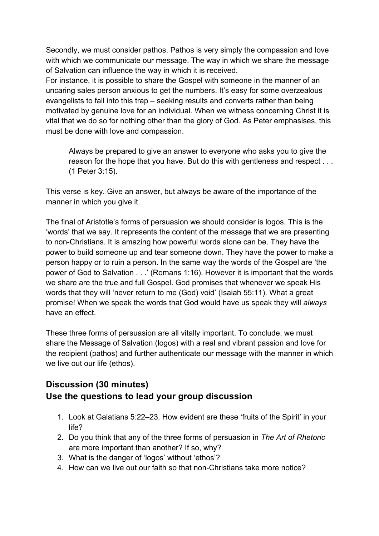Secondly, we must consider pathos. Pathos is very simply the compassion and love with which we communicate our message. The way in which we share the message of Salvation can influence the way in which it is received.

For instance, it is possible to share the Gospel with someone in the manner of an uncaring sales person anxious to get the numbers. It's easy for some overzealous evangelists to fall into this trap – seeking results and converts rather than being motivated by genuine love for an individual. When we witness concerning Christ it is vital that we do so for nothing other than the glory of God. As Peter emphasises, this must be done with love and compassion.

Always be prepared to give an answer to everyone who asks you to give the reason for the hope that you have. But do this with gentleness and respect . . . (1 Peter 3:15).

This verse is key. Give an answer, but always be aware of the importance of the manner in which you give it.

The final of Aristotle's forms of persuasion we should consider is logos. This is the 'words' that we say. It represents the content of the message that we are presenting to non-Christians. It is amazing how powerful words alone can be. They have the power to build someone up and tear someone down. They have the power to make a person happy or to ruin a person. In the same way the words of the Gospel are 'the power of God to Salvation . . .' (Romans 1:16). However it is important that the words we share are the true and full Gospel. God promises that whenever we speak His words that they will 'never return to me (God) void' (Isaiah 55:11). What a great promise! When we speak the words that God would have us speak they will *always* have an effect.

These three forms of persuasion are all vitally important. To conclude; we must share the Message of Salvation (logos) with a real and vibrant passion and love for the recipient (pathos) and further authenticate our message with the manner in which we live out our life (ethos).

### **Discussion (30 minutes) Use the questions to lead your group discussion**

- 1. Look at Galatians 5:22–23. How evident are these 'fruits of the Spirit' in your life?
- 2. Do you think that any of the three forms of persuasion in *The Art of Rhetoric* are more important than another? If so, why?
- 3. What is the danger of 'logos' without 'ethos'?
- 4. How can we live out our faith so that non-Christians take more notice?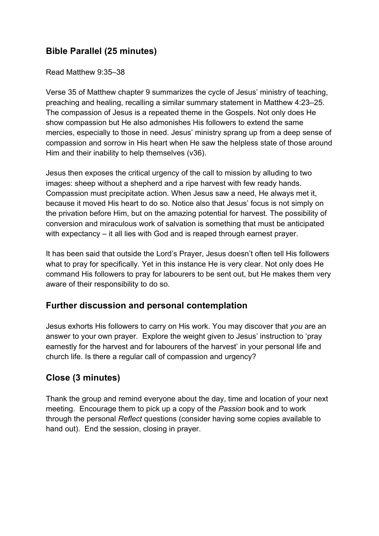### **Bible Parallel (25 minutes)**

Read Matthew 9:35–38

Verse 35 of Matthew chapter 9 summarizes the cycle of Jesus' ministry of teaching, preaching and healing, recalling a similar summary statement in Matthew 4:23–25. The compassion of Jesus is a repeated theme in the Gospels. Not only does He show compassion but He also admonishes His followers to extend the same mercies, especially to those in need. Jesus' ministry sprang up from a deep sense of compassion and sorrow in His heart when He saw the helpless state of those around Him and their inability to help themselves (v36).

Jesus then exposes the critical urgency of the call to mission by alluding to two images: sheep without a shepherd and a ripe harvest with few ready hands. Compassion must precipitate action. When Jesus saw a need, He always met it, because it moved His heart to do so. Notice also that Jesus' focus is not simply on the privation before Him, but on the amazing potential for harvest. The possibility of conversion and miraculous work of salvation is something that must be anticipated with expectancy – it all lies with God and is reaped through earnest prayer.

It has been said that outside the Lord's Prayer, Jesus doesn't often tell His followers what to pray for specifically. Yet in this instance He is very clear. Not only does He command His followers to pray for labourers to be sent out, but He makes them very aware of their responsibility to do so.

### **Further discussion and personal contemplation**

Jesus exhorts His followers to carry on His work. You may discover that *you* are an answer to your own prayer. Explore the weight given to Jesus' instruction to 'pray earnestly for the harvest and for labourers of the harvest' in your personal life and church life. Is there a regular call of compassion and urgency?

### **Close (3 minutes)**

Thank the group and remind everyone about the day, time and location of your next meeting. Encourage them to pick up a copy of the *Passion* book and to work through the personal *Reflect* questions (consider having some copies available to hand out). End the session, closing in prayer.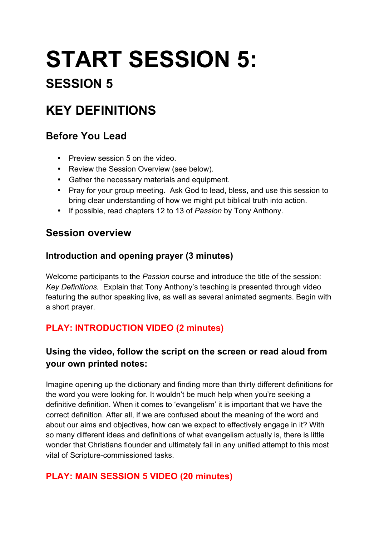# **START SESSION 5:**

# **SESSION 5**

# **KEY DEFINITIONS**

## **Before You Lead**

- Preview session 5 on the video.
- Review the Session Overview (see below).
- Gather the necessary materials and equipment.
- Pray for your group meeting. Ask God to lead, bless, and use this session to bring clear understanding of how we might put biblical truth into action.
- If possible, read chapters 12 to 13 of *Passion* by Tony Anthony.

### **Session overview**

### **Introduction and opening prayer (3 minutes)**

Welcome participants to the *Passion* course and introduce the title of the session: *Key Definitions.* Explain that Tony Anthony's teaching is presented through video featuring the author speaking live, as well as several animated segments. Begin with a short prayer.

### **PLAY: INTRODUCTION VIDEO (2 minutes)**

### **Using the video, follow the script on the screen or read aloud from your own printed notes:**

Imagine opening up the dictionary and finding more than thirty different definitions for the word you were looking for. It wouldn't be much help when you're seeking a definitive definition. When it comes to 'evangelism' it is important that we have the correct definition. After all, if we are confused about the meaning of the word and about our aims and objectives, how can we expect to effectively engage in it? With so many different ideas and definitions of what evangelism actually is, there is little wonder that Christians flounder and ultimately fail in any unified attempt to this most vital of Scripture-commissioned tasks.

### **PLAY: MAIN SESSION 5 VIDEO (20 minutes)**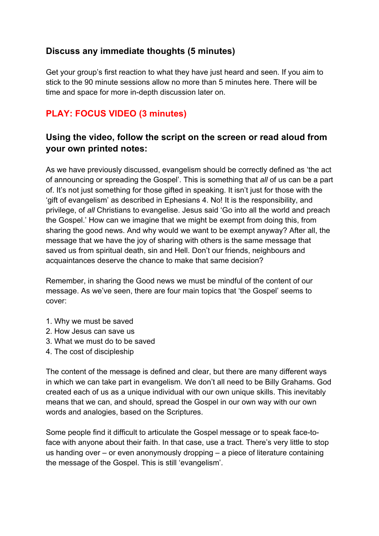### **Discuss any immediate thoughts (5 minutes)**

Get your group's first reaction to what they have just heard and seen. If you aim to stick to the 90 minute sessions allow no more than 5 minutes here. There will be time and space for more in-depth discussion later on.

### **PLAY: FOCUS VIDEO (3 minutes)**

### **Using the video, follow the script on the screen or read aloud from your own printed notes:**

As we have previously discussed, evangelism should be correctly defined as 'the act of announcing or spreading the Gospel'. This is something that *all* of us can be a part of. It's not just something for those gifted in speaking. It isn't just for those with the 'gift of evangelism' as described in Ephesians 4. No! It is the responsibility, and privilege, of *all* Christians to evangelise. Jesus said 'Go into all the world and preach the Gospel.' How can we imagine that we might be exempt from doing this, from sharing the good news. And why would we want to be exempt anyway? After all, the message that we have the joy of sharing with others is the same message that saved us from spiritual death, sin and Hell. Don't our friends, neighbours and acquaintances deserve the chance to make that same decision?

Remember, in sharing the Good news we must be mindful of the content of our message. As we've seen, there are four main topics that 'the Gospel' seems to cover:

- 1. Why we must be saved
- 2. How Jesus can save us
- 3. What we must do to be saved
- 4. The cost of discipleship

The content of the message is defined and clear, but there are many different ways in which we can take part in evangelism. We don't all need to be Billy Grahams. God created each of us as a unique individual with our own unique skills. This inevitably means that we can, and should, spread the Gospel in our own way with our own words and analogies, based on the Scriptures.

Some people find it difficult to articulate the Gospel message or to speak face-toface with anyone about their faith. In that case, use a tract. There's very little to stop us handing over – or even anonymously dropping – a piece of literature containing the message of the Gospel. This is still 'evangelism'.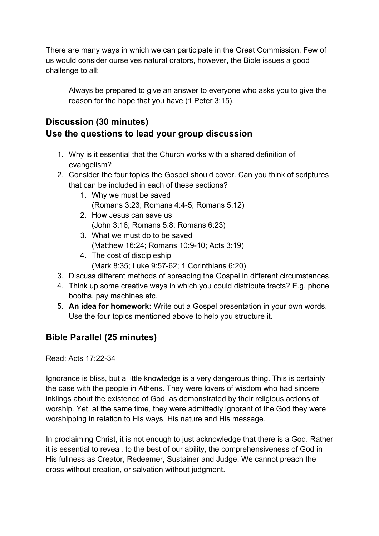There are many ways in which we can participate in the Great Commission. Few of us would consider ourselves natural orators, however, the Bible issues a good challenge to all:

Always be prepared to give an answer to everyone who asks you to give the reason for the hope that you have (1 Peter 3:15).

### **Discussion (30 minutes) Use the questions to lead your group discussion**

- 1. Why is it essential that the Church works with a shared definition of evangelism?
- 2. Consider the four topics the Gospel should cover. Can you think of scriptures that can be included in each of these sections?
	- 1. Why we must be saved (Romans 3:23; Romans 4:4-5; Romans 5:12)
	- 2. How Jesus can save us (John 3:16; Romans 5:8; Romans 6:23)
	- 3. What we must do to be saved (Matthew 16:24; Romans 10:9-10; Acts 3:19)
	- 4. The cost of discipleship (Mark 8:35; Luke 9:57-62; 1 Corinthians 6:20)
- 3. Discuss different methods of spreading the Gospel in different circumstances.
- 4. Think up some creative ways in which you could distribute tracts? E.g. phone booths, pay machines etc.
- 5. **An idea for homework:** Write out a Gospel presentation in your own words. Use the four topics mentioned above to help you structure it.

### **Bible Parallel (25 minutes)**

Read: Acts 17:22-34

Ignorance is bliss, but a little knowledge is a very dangerous thing. This is certainly the case with the people in Athens. They were lovers of wisdom who had sincere inklings about the existence of God, as demonstrated by their religious actions of worship. Yet, at the same time, they were admittedly ignorant of the God they were worshipping in relation to His ways, His nature and His message.

In proclaiming Christ, it is not enough to just acknowledge that there is a God. Rather it is essential to reveal, to the best of our ability, the comprehensiveness of God in His fullness as Creator, Redeemer, Sustainer and Judge. We cannot preach the cross without creation, or salvation without judgment.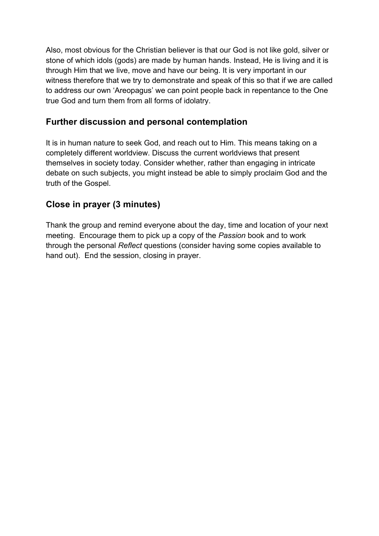Also, most obvious for the Christian believer is that our God is not like gold, silver or stone of which idols (gods) are made by human hands. Instead, He is living and it is through Him that we live, move and have our being. It is very important in our witness therefore that we try to demonstrate and speak of this so that if we are called to address our own 'Areopagus' we can point people back in repentance to the One true God and turn them from all forms of idolatry.

### **Further discussion and personal contemplation**

It is in human nature to seek God, and reach out to Him. This means taking on a completely different worldview. Discuss the current worldviews that present themselves in society today. Consider whether, rather than engaging in intricate debate on such subjects, you might instead be able to simply proclaim God and the truth of the Gospel.

### **Close in prayer (3 minutes)**

Thank the group and remind everyone about the day, time and location of your next meeting. Encourage them to pick up a copy of the *Passion* book and to work through the personal *Reflect* questions (consider having some copies available to hand out). End the session, closing in prayer.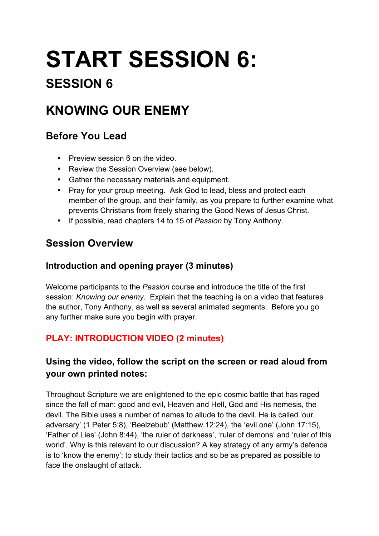# **START SESSION 6:**

# **SESSION 6**

# **KNOWING OUR ENEMY**

## **Before You Lead**

- Preview session 6 on the video.
- Review the Session Overview (see below).
- Gather the necessary materials and equipment.
- Pray for your group meeting. Ask God to lead, bless and protect each member of the group, and their family, as you prepare to further examine what prevents Christians from freely sharing the Good News of Jesus Christ.
- If possible, read chapters 14 to 15 of *Passion* by Tony Anthony.

## **Session Overview**

### **Introduction and opening prayer (3 minutes)**

Welcome participants to the *Passion* course and introduce the title of the first session: *Knowing our enemy*. Explain that the teaching is on a video that features the author, Tony Anthony, as well as several animated segments. Before you go any further make sure you begin with prayer.

### **PLAY: INTRODUCTION VIDEO (2 minutes)**

### **Using the video, follow the script on the screen or read aloud from your own printed notes:**

Throughout Scripture we are enlightened to the epic cosmic battle that has raged since the fall of man: good and evil, Heaven and Hell, God and His nemesis, the devil. The Bible uses a number of names to allude to the devil. He is called 'our adversary' (1 Peter 5:8), 'Beelzebub' (Matthew 12:24), the 'evil one' (John 17:15), 'Father of Lies' (John 8:44), 'the ruler of darkness', 'ruler of demons' and 'ruler of this world'. Why is this relevant to our discussion? A key strategy of any army's defence is to 'know the enemy'; to study their tactics and so be as prepared as possible to face the onslaught of attack.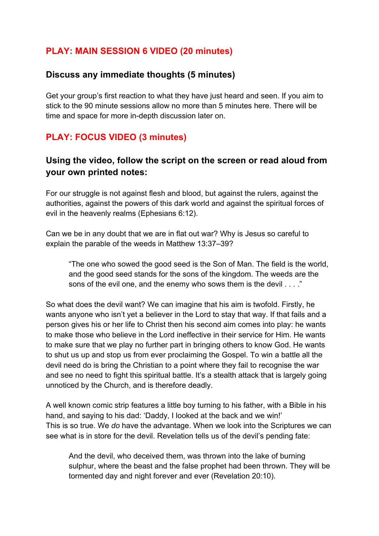### **PLAY: MAIN SESSION 6 VIDEO (20 minutes)**

### **Discuss any immediate thoughts (5 minutes)**

Get your group's first reaction to what they have just heard and seen. If you aim to stick to the 90 minute sessions allow no more than 5 minutes here. There will be time and space for more in-depth discussion later on.

### **PLAY: FOCUS VIDEO (3 minutes)**

### **Using the video, follow the script on the screen or read aloud from your own printed notes:**

For our struggle is not against flesh and blood, but against the rulers, against the authorities, against the powers of this dark world and against the spiritual forces of evil in the heavenly realms (Ephesians 6:12).

Can we be in any doubt that we are in flat out war? Why is Jesus so careful to explain the parable of the weeds in Matthew 13:37–39?

"The one who sowed the good seed is the Son of Man. The field is the world, and the good seed stands for the sons of the kingdom. The weeds are the sons of the evil one, and the enemy who sows them is the devil . . . ."

So what does the devil want? We can imagine that his aim is twofold. Firstly, he wants anyone who isn't yet a believer in the Lord to stay that way. If that fails and a person gives his or her life to Christ then his second aim comes into play: he wants to make those who believe in the Lord ineffective in their service for Him. He wants to make sure that we play no further part in bringing others to know God. He wants to shut us up and stop us from ever proclaiming the Gospel. To win a battle all the devil need do is bring the Christian to a point where they fail to recognise the war and see no need to fight this spiritual battle. It's a stealth attack that is largely going unnoticed by the Church, and is therefore deadly.

A well known comic strip features a little boy turning to his father, with a Bible in his hand, and saying to his dad: 'Daddy, I looked at the back and we win!' This is so true. We *do* have the advantage. When we look into the Scriptures we can see what is in store for the devil. Revelation tells us of the devil's pending fate:

And the devil, who deceived them, was thrown into the lake of burning sulphur, where the beast and the false prophet had been thrown. They will be tormented day and night forever and ever (Revelation 20:10).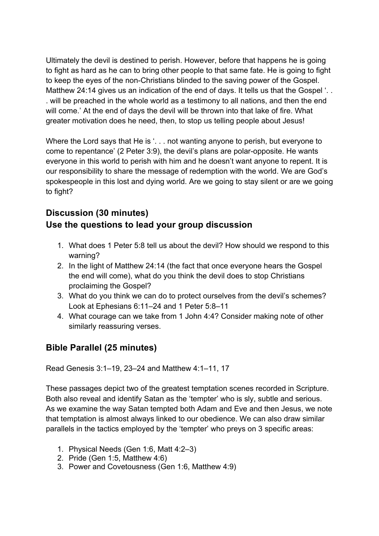Ultimately the devil is destined to perish. However, before that happens he is going to fight as hard as he can to bring other people to that same fate. He is going to fight to keep the eyes of the non-Christians blinded to the saving power of the Gospel. Matthew 24:14 gives us an indication of the end of days. It tells us that the Gospel '... . will be preached in the whole world as a testimony to all nations, and then the end will come.' At the end of days the devil will be thrown into that lake of fire. What greater motivation does he need, then, to stop us telling people about Jesus!

Where the Lord says that He is '... not wanting anyone to perish, but everyone to come to repentance' (2 Peter 3:9), the devil's plans are polar-opposite. He wants everyone in this world to perish with him and he doesn't want anyone to repent. It is our responsibility to share the message of redemption with the world. We are God's spokespeople in this lost and dying world. Are we going to stay silent or are we going to fight?

### **Discussion (30 minutes) Use the questions to lead your group discussion**

- 1. What does 1 Peter 5:8 tell us about the devil? How should we respond to this warning?
- 2. In the light of Matthew 24:14 (the fact that once everyone hears the Gospel the end will come), what do you think the devil does to stop Christians proclaiming the Gospel?
- 3. What do you think we can do to protect ourselves from the devil's schemes? Look at Ephesians 6:11–24 and 1 Peter 5:8–11
- 4. What courage can we take from 1 John 4:4? Consider making note of other similarly reassuring verses.

### **Bible Parallel (25 minutes)**

Read Genesis 3:1–19, 23–24 and Matthew 4:1–11, 17

These passages depict two of the greatest temptation scenes recorded in Scripture. Both also reveal and identify Satan as the 'tempter' who is sly, subtle and serious. As we examine the way Satan tempted both Adam and Eve and then Jesus, we note that temptation is almost always linked to our obedience. We can also draw similar parallels in the tactics employed by the 'tempter' who preys on 3 specific areas:

- 1. Physical Needs (Gen 1:6, Matt 4:2–3)
- 2. Pride (Gen 1:5, Matthew 4:6)
- 3. Power and Covetousness (Gen 1:6, Matthew 4:9)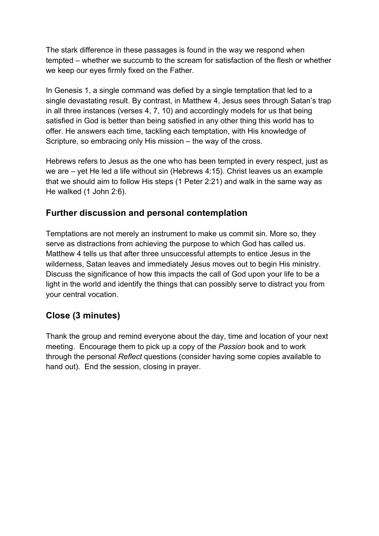The stark difference in these passages is found in the way we respond when tempted – whether we succumb to the scream for satisfaction of the flesh or whether we keep our eyes firmly fixed on the Father.

In Genesis 1, a single command was defied by a single temptation that led to a single devastating result. By contrast, in Matthew 4, Jesus sees through Satan's trap in all three instances (verses 4, 7, 10) and accordingly models for us that being satisfied in God is better than being satisfied in any other thing this world has to offer. He answers each time, tackling each temptation, with His knowledge of Scripture, so embracing only His mission – the way of the cross.

Hebrews refers to Jesus as the one who has been tempted in every respect, just as we are – yet He led a life without sin (Hebrews 4:15). Christ leaves us an example that we should aim to follow His steps (1 Peter 2:21) and walk in the same way as He walked (1 John 2:6).

### **Further discussion and personal contemplation**

Temptations are not merely an instrument to make us commit sin. More so, they serve as distractions from achieving the purpose to which God has called us. Matthew 4 tells us that after three unsuccessful attempts to entice Jesus in the wilderness, Satan leaves and immediately Jesus moves out to begin His ministry. Discuss the significance of how this impacts the call of God upon your life to be a light in the world and identify the things that can possibly serve to distract you from your central vocation.

### **Close (3 minutes)**

Thank the group and remind everyone about the day, time and location of your next meeting. Encourage them to pick up a copy of the *Passion* book and to work through the personal *Reflect* questions (consider having some copies available to hand out). End the session, closing in prayer.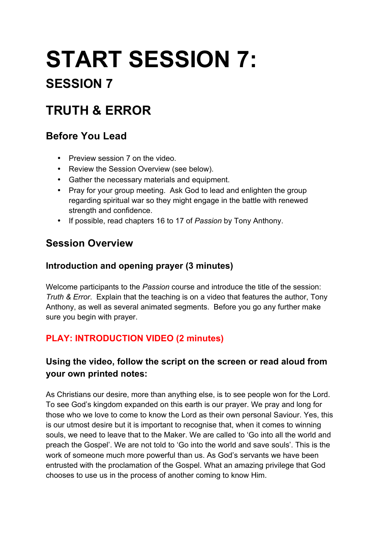# **START SESSION 7:**

# **SESSION 7**

# **TRUTH & ERROR**

## **Before You Lead**

- Preview session 7 on the video
- Review the Session Overview (see below).
- Gather the necessary materials and equipment.
- Pray for your group meeting. Ask God to lead and enlighten the group regarding spiritual war so they might engage in the battle with renewed strength and confidence.
- If possible, read chapters 16 to 17 of *Passion* by Tony Anthony.

## **Session Overview**

### **Introduction and opening prayer (3 minutes)**

Welcome participants to the *Passion* course and introduce the title of the session: *Truth & Error*. Explain that the teaching is on a video that features the author, Tony Anthony, as well as several animated segments. Before you go any further make sure you begin with prayer.

### **PLAY: INTRODUCTION VIDEO (2 minutes)**

### **Using the video, follow the script on the screen or read aloud from your own printed notes:**

As Christians our desire, more than anything else, is to see people won for the Lord. To see God's kingdom expanded on this earth is our prayer. We pray and long for those who we love to come to know the Lord as their own personal Saviour. Yes, this is our utmost desire but it is important to recognise that, when it comes to winning souls, we need to leave that to the Maker. We are called to 'Go into all the world and preach the Gospel'. We are not told to 'Go into the world and save souls'. This is the work of someone much more powerful than us. As God's servants we have been entrusted with the proclamation of the Gospel. What an amazing privilege that God chooses to use us in the process of another coming to know Him.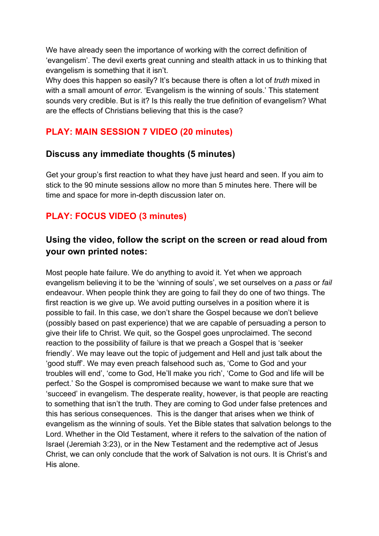We have already seen the importance of working with the correct definition of 'evangelism'. The devil exerts great cunning and stealth attack in us to thinking that evangelism is something that it isn't.

Why does this happen so easily? It's because there is often a lot of *truth* mixed in with a small amount of *error*. 'Evangelism is the winning of souls.' This statement sounds very credible. But is it? Is this really the true definition of evangelism? What are the effects of Christians believing that this is the case?

### **PLAY: MAIN SESSION 7 VIDEO (20 minutes)**

### **Discuss any immediate thoughts (5 minutes)**

Get your group's first reaction to what they have just heard and seen. If you aim to stick to the 90 minute sessions allow no more than 5 minutes here. There will be time and space for more in-depth discussion later on.

### **PLAY: FOCUS VIDEO (3 minutes)**

### **Using the video, follow the script on the screen or read aloud from your own printed notes:**

Most people hate failure. We do anything to avoid it. Yet when we approach evangelism believing it to be the 'winning of souls', we set ourselves on a *pass* or *fail* endeavour. When people think they are going to fail they do one of two things. The first reaction is we give up. We avoid putting ourselves in a position where it is possible to fail. In this case, we don't share the Gospel because we don't believe (possibly based on past experience) that we are capable of persuading a person to give their life to Christ. We quit, so the Gospel goes unproclaimed. The second reaction to the possibility of failure is that we preach a Gospel that is 'seeker friendly'. We may leave out the topic of judgement and Hell and just talk about the 'good stuff'. We may even preach falsehood such as, 'Come to God and your troubles will end', 'come to God, He'll make you rich', 'Come to God and life will be perfect.' So the Gospel is compromised because we want to make sure that we 'succeed' in evangelism. The desperate reality, however, is that people are reacting to something that isn't the truth. They are coming to God under false pretences and this has serious consequences. This is the danger that arises when we think of evangelism as the winning of souls. Yet the Bible states that salvation belongs to the Lord. Whether in the Old Testament, where it refers to the salvation of the nation of Israel (Jeremiah 3:23), or in the New Testament and the redemptive act of Jesus Christ, we can only conclude that the work of Salvation is not ours. It is Christ's and His alone.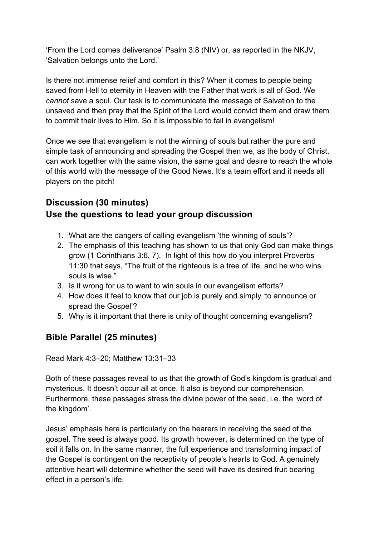'From the Lord comes deliverance' Psalm 3:8 (NIV) or, as reported in the NKJV, 'Salvation belongs unto the Lord.'

Is there not immense relief and comfort in this? When it comes to people being saved from Hell to eternity in Heaven with the Father that work is all of God. We *cannot* save a soul. Our task is to communicate the message of Salvation to the unsaved and then pray that the Spirit of the Lord would convict them and draw them to commit their lives to Him. So it is impossible to fail in evangelism!

Once we see that evangelism is not the winning of souls but rather the pure and simple task of announcing and spreading the Gospel then we, as the body of Christ, can work together with the same vision, the same goal and desire to reach the whole of this world with the message of the Good News. It's a team effort and it needs all players on the pitch!

### **Discussion (30 minutes) Use the questions to lead your group discussion**

- 1. What are the dangers of calling evangelism 'the winning of souls'?
- 2. The emphasis of this teaching has shown to us that only God can make things grow (1 Corinthians 3:6, 7). In light of this how do you interpret Proverbs 11:30 that says, "The fruit of the righteous is a tree of life, and he who wins souls is wise."
- 3. Is it wrong for us to want to win souls in our evangelism efforts?
- 4. How does it feel to know that our job is purely and simply 'to announce or spread the Gospel'?
- 5. Why is it important that there is unity of thought concerning evangelism?

### **Bible Parallel (25 minutes)**

Read Mark 4:3–20; Matthew 13:31–33

Both of these passages reveal to us that the growth of God's kingdom is gradual and mysterious. It doesn't occur all at once. It also is beyond our comprehension. Furthermore, these passages stress the divine power of the seed, i.e. the 'word of the kingdom'.

Jesus' emphasis here is particularly on the hearers in receiving the seed of the gospel. The seed is always good. Its growth however, is determined on the type of soil it falls on. In the same manner, the full experience and transforming impact of the Gospel is contingent on the receptivity of people's hearts to God. A genuinely attentive heart will determine whether the seed will have its desired fruit bearing effect in a person's life.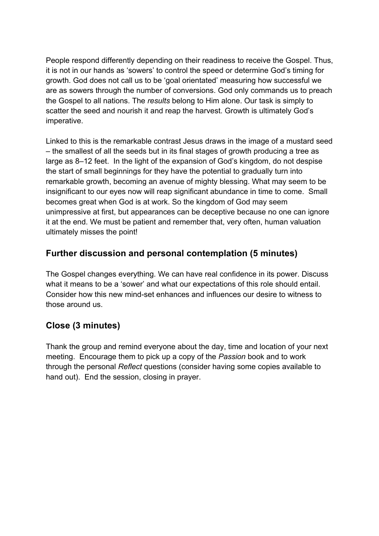People respond differently depending on their readiness to receive the Gospel. Thus, it is not in our hands as 'sowers' to control the speed or determine God's timing for growth. God does not call us to be 'goal orientated' measuring how successful we are as sowers through the number of conversions. God only commands us to preach the Gospel to all nations. The *results* belong to Him alone. Our task is simply to scatter the seed and nourish it and reap the harvest. Growth is ultimately God's imperative.

Linked to this is the remarkable contrast Jesus draws in the image of a mustard seed – the smallest of all the seeds but in its final stages of growth producing a tree as large as 8–12 feet. In the light of the expansion of God's kingdom, do not despise the start of small beginnings for they have the potential to gradually turn into remarkable growth, becoming an avenue of mighty blessing. What may seem to be insignificant to our eyes now will reap significant abundance in time to come. Small becomes great when God is at work. So the kingdom of God may seem unimpressive at first, but appearances can be deceptive because no one can ignore it at the end. We must be patient and remember that, very often, human valuation ultimately misses the point!

### **Further discussion and personal contemplation (5 minutes)**

The Gospel changes everything. We can have real confidence in its power. Discuss what it means to be a 'sower' and what our expectations of this role should entail. Consider how this new mind-set enhances and influences our desire to witness to those around us.

### **Close (3 minutes)**

Thank the group and remind everyone about the day, time and location of your next meeting. Encourage them to pick up a copy of the *Passion* book and to work through the personal *Reflect* questions (consider having some copies available to hand out). End the session, closing in prayer.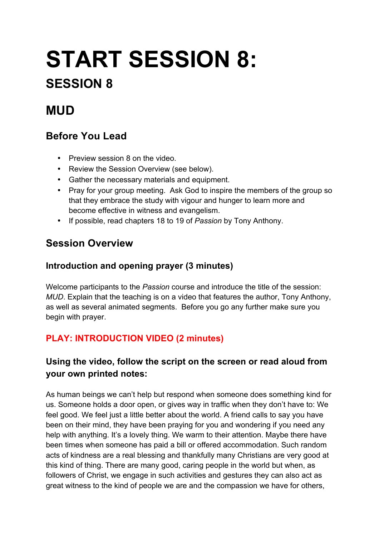# **START SESSION 8:**

# **SESSION 8**

# **MUD**

## **Before You Lead**

- Preview session 8 on the video.
- Review the Session Overview (see below).
- Gather the necessary materials and equipment.
- Pray for your group meeting. Ask God to inspire the members of the group so that they embrace the study with vigour and hunger to learn more and become effective in witness and evangelism.
- If possible, read chapters 18 to 19 of *Passion* by Tony Anthony.

# **Session Overview**

### **Introduction and opening prayer (3 minutes)**

Welcome participants to the *Passion* course and introduce the title of the session: *MUD*. Explain that the teaching is on a video that features the author, Tony Anthony, as well as several animated segments. Before you go any further make sure you begin with prayer.

## **PLAY: INTRODUCTION VIDEO (2 minutes)**

### **Using the video, follow the script on the screen or read aloud from your own printed notes:**

As human beings we can't help but respond when someone does something kind for us. Someone holds a door open, or gives way in traffic when they don't have to: We feel good. We feel just a little better about the world. A friend calls to say you have been on their mind, they have been praying for you and wondering if you need any help with anything. It's a lovely thing. We warm to their attention. Maybe there have been times when someone has paid a bill or offered accommodation. Such random acts of kindness are a real blessing and thankfully many Christians are very good at this kind of thing. There are many good, caring people in the world but when, as followers of Christ, we engage in such activities and gestures they can also act as great witness to the kind of people we are and the compassion we have for others,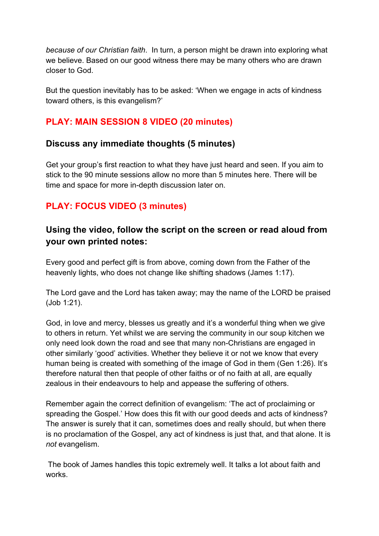*because of our Christian faith*. In turn, a person might be drawn into exploring what we believe. Based on our good witness there may be many others who are drawn closer to God.

But the question inevitably has to be asked: 'When we engage in acts of kindness toward others, is this evangelism?'

### **PLAY: MAIN SESSION 8 VIDEO (20 minutes)**

#### **Discuss any immediate thoughts (5 minutes)**

Get your group's first reaction to what they have just heard and seen. If you aim to stick to the 90 minute sessions allow no more than 5 minutes here. There will be time and space for more in-depth discussion later on.

### **PLAY: FOCUS VIDEO (3 minutes)**

### **Using the video, follow the script on the screen or read aloud from your own printed notes:**

Every good and perfect gift is from above, coming down from the Father of the heavenly lights, who does not change like shifting shadows (James 1:17).

The Lord gave and the Lord has taken away; may the name of the LORD be praised (Job 1:21).

God, in love and mercy, blesses us greatly and it's a wonderful thing when we give to others in return. Yet whilst we are serving the community in our soup kitchen we only need look down the road and see that many non-Christians are engaged in other similarly 'good' activities. Whether they believe it or not we know that every human being is created with something of the image of God in them (Gen 1:26). It's therefore natural then that people of other faiths or of no faith at all, are equally zealous in their endeavours to help and appease the suffering of others.

Remember again the correct definition of evangelism: 'The act of proclaiming or spreading the Gospel.' How does this fit with our good deeds and acts of kindness? The answer is surely that it can, sometimes does and really should, but when there is no proclamation of the Gospel, any act of kindness is just that, and that alone. It is *not* evangelism.

The book of James handles this topic extremely well. It talks a lot about faith and works.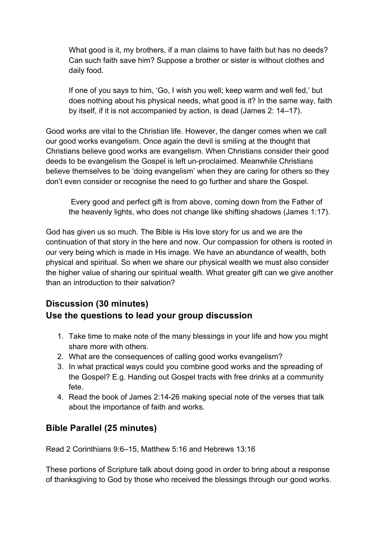What good is it, my brothers, if a man claims to have faith but has no deeds? Can such faith save him? Suppose a brother or sister is without clothes and daily food.

If one of you says to him, 'Go, I wish you well; keep warm and well fed,' but does nothing about his physical needs, what good is it? In the same way, faith by itself, if it is not accompanied by action, is dead (James 2: 14–17).

Good works are vital to the Christian life. However, the danger comes when we call our good works evangelism. Once again the devil is smiling at the thought that Christians believe good works are evangelism. When Christians consider their good deeds to be evangelism the Gospel is left un-proclaimed. Meanwhile Christians believe themselves to be 'doing evangelism' when they are caring for others so they don't even consider or recognise the need to go further and share the Gospel.

Every good and perfect gift is from above, coming down from the Father of the heavenly lights, who does not change like shifting shadows (James 1:17).

God has given us so much. The Bible is His love story for us and we are the continuation of that story in the here and now. Our compassion for others is rooted in our very being which is made in His image. We have an abundance of wealth, both physical and spiritual. So when we share our physical wealth we must also consider the higher value of sharing our spiritual wealth. What greater gift can we give another than an introduction to their salvation?

### **Discussion (30 minutes) Use the questions to lead your group discussion**

- 1. Take time to make note of the many blessings in your life and how you might share more with others.
- 2. What are the consequences of calling good works evangelism?
- 3. In what practical ways could you combine good works and the spreading of the Gospel? E.g. Handing out Gospel tracts with free drinks at a community fete.
- 4. Read the book of James 2:14-26 making special note of the verses that talk about the importance of faith and works.

### **Bible Parallel (25 minutes)**

Read 2 Corinthians 9:6–15, Matthew 5:16 and Hebrews 13:16

These portions of Scripture talk about doing good in order to bring about a response of thanksgiving to God by those who received the blessings through our good works.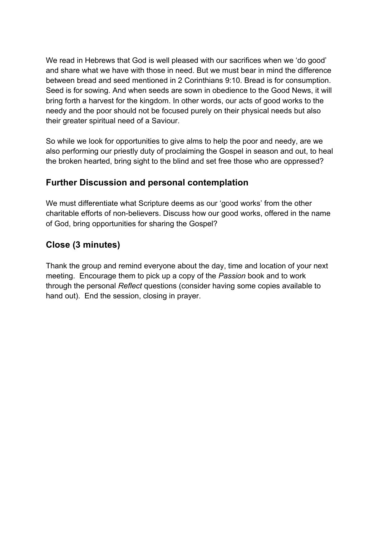We read in Hebrews that God is well pleased with our sacrifices when we 'do good' and share what we have with those in need. But we must bear in mind the difference between bread and seed mentioned in 2 Corinthians 9:10. Bread is for consumption. Seed is for sowing. And when seeds are sown in obedience to the Good News, it will bring forth a harvest for the kingdom. In other words, our acts of good works to the needy and the poor should not be focused purely on their physical needs but also their greater spiritual need of a Saviour.

So while we look for opportunities to give alms to help the poor and needy, are we also performing our priestly duty of proclaiming the Gospel in season and out, to heal the broken hearted, bring sight to the blind and set free those who are oppressed?

### **Further Discussion and personal contemplation**

We must differentiate what Scripture deems as our 'good works' from the other charitable efforts of non-believers. Discuss how our good works, offered in the name of God, bring opportunities for sharing the Gospel?

### **Close (3 minutes)**

Thank the group and remind everyone about the day, time and location of your next meeting. Encourage them to pick up a copy of the *Passion* book and to work through the personal *Reflect* questions (consider having some copies available to hand out). End the session, closing in prayer.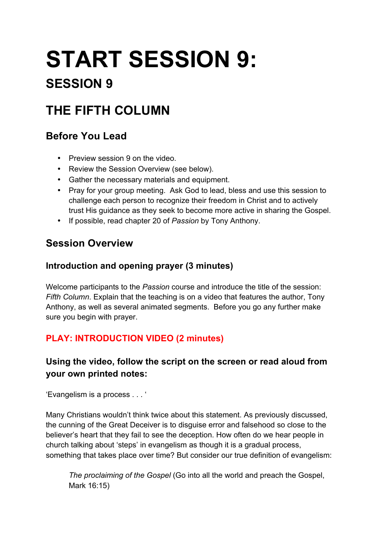# **START SESSION 9:**

# **SESSION 9**

# **THE FIFTH COLUMN**

## **Before You Lead**

- Preview session 9 on the video.
- Review the Session Overview (see below).
- Gather the necessary materials and equipment.
- Pray for your group meeting. Ask God to lead, bless and use this session to challenge each person to recognize their freedom in Christ and to actively trust His guidance as they seek to become more active in sharing the Gospel.
- If possible, read chapter 20 of *Passion* by Tony Anthony.

# **Session Overview**

### **Introduction and opening prayer (3 minutes)**

Welcome participants to the *Passion* course and introduce the title of the session: *Fifth Column*. Explain that the teaching is on a video that features the author, Tony Anthony, as well as several animated segments. Before you go any further make sure you begin with prayer.

### **PLAY: INTRODUCTION VIDEO (2 minutes)**

### **Using the video, follow the script on the screen or read aloud from your own printed notes:**

'Evangelism is a process . . . '

Many Christians wouldn't think twice about this statement. As previously discussed, the cunning of the Great Deceiver is to disguise error and falsehood so close to the believer's heart that they fail to see the deception. How often do we hear people in church talking about 'steps' in evangelism as though it is a gradual process, something that takes place over time? But consider our true definition of evangelism:

*The proclaiming of the Gospel* (Go into all the world and preach the Gospel, Mark 16:15)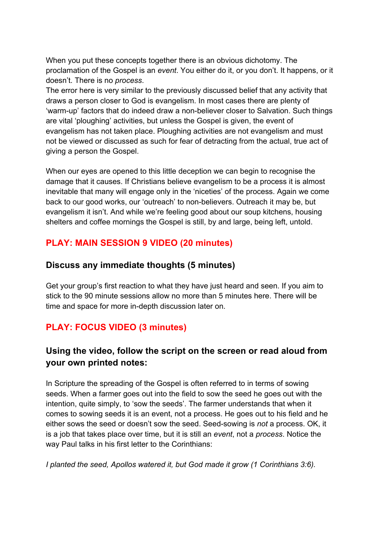When you put these concepts together there is an obvious dichotomy. The proclamation of the Gospel is an *event*. You either do it, or you don't. It happens, or it doesn't. There is no *process*.

The error here is very similar to the previously discussed belief that any activity that draws a person closer to God is evangelism. In most cases there are plenty of 'warm-up' factors that do indeed draw a non-believer closer to Salvation. Such things are vital 'ploughing' activities, but unless the Gospel is given, the event of evangelism has not taken place. Ploughing activities are not evangelism and must not be viewed or discussed as such for fear of detracting from the actual, true act of giving a person the Gospel.

When our eyes are opened to this little deception we can begin to recognise the damage that it causes. If Christians believe evangelism to be a process it is almost inevitable that many will engage only in the 'niceties' of the process. Again we come back to our good works, our 'outreach' to non-believers. Outreach it may be, but evangelism it isn't. And while we're feeling good about our soup kitchens, housing shelters and coffee mornings the Gospel is still, by and large, being left, untold.

### **PLAY: MAIN SESSION 9 VIDEO (20 minutes)**

### **Discuss any immediate thoughts (5 minutes)**

Get your group's first reaction to what they have just heard and seen. If you aim to stick to the 90 minute sessions allow no more than 5 minutes here. There will be time and space for more in-depth discussion later on.

### **PLAY: FOCUS VIDEO (3 minutes)**

### **Using the video, follow the script on the screen or read aloud from your own printed notes:**

In Scripture the spreading of the Gospel is often referred to in terms of sowing seeds. When a farmer goes out into the field to sow the seed he goes out with the intention, quite simply, to 'sow the seeds'. The farmer understands that when it comes to sowing seeds it is an event, not a process. He goes out to his field and he either sows the seed or doesn't sow the seed. Seed-sowing is *not* a process. OK, it is a job that takes place over time, but it is still an *event*, not a *process*. Notice the way Paul talks in his first letter to the Corinthians:

*I planted the seed, Apollos watered it, but God made it grow (1 Corinthians 3:6).*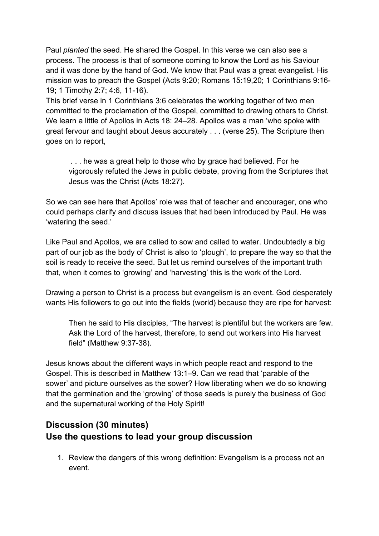Paul *planted* the seed. He shared the Gospel. In this verse we can also see a process. The process is that of someone coming to know the Lord as his Saviour and it was done by the hand of God. We know that Paul was a great evangelist. His mission was to preach the Gospel (Acts 9:20; Romans 15:19,20; 1 Corinthians 9:16- 19; 1 Timothy 2:7; 4:6, 11-16).

This brief verse in 1 Corinthians 3:6 celebrates the working together of two men committed to the proclamation of the Gospel, committed to drawing others to Christ. We learn a little of Apollos in Acts 18: 24–28. Apollos was a man 'who spoke with great fervour and taught about Jesus accurately . . . (verse 25). The Scripture then goes on to report,

. . . he was a great help to those who by grace had believed. For he vigorously refuted the Jews in public debate, proving from the Scriptures that Jesus was the Christ (Acts 18:27).

So we can see here that Apollos' role was that of teacher and encourager, one who could perhaps clarify and discuss issues that had been introduced by Paul. He was 'watering the seed.'

Like Paul and Apollos, we are called to sow and called to water. Undoubtedly a big part of our job as the body of Christ is also to 'plough', to prepare the way so that the soil is ready to receive the seed. But let us remind ourselves of the important truth that, when it comes to 'growing' and 'harvesting' this is the work of the Lord.

Drawing a person to Christ is a process but evangelism is an event. God desperately wants His followers to go out into the fields (world) because they are ripe for harvest:

Then he said to His disciples, "The harvest is plentiful but the workers are few. Ask the Lord of the harvest, therefore, to send out workers into His harvest field" (Matthew 9:37-38).

Jesus knows about the different ways in which people react and respond to the Gospel. This is described in Matthew 13:1–9. Can we read that 'parable of the sower' and picture ourselves as the sower? How liberating when we do so knowing that the germination and the 'growing' of those seeds is purely the business of God and the supernatural working of the Holy Spirit!

### **Discussion (30 minutes) Use the questions to lead your group discussion**

1. Review the dangers of this wrong definition: Evangelism is a process not an event.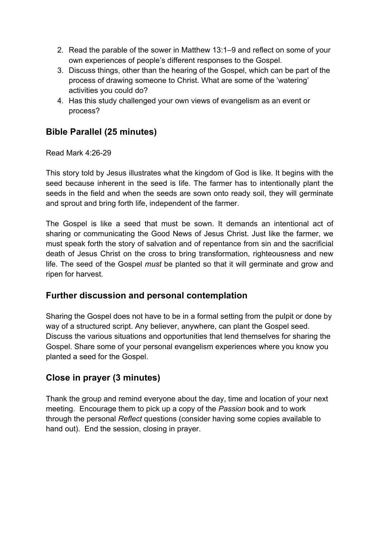- 2. Read the parable of the sower in Matthew 13:1–9 and reflect on some of your own experiences of people's different responses to the Gospel.
- 3. Discuss things, other than the hearing of the Gospel, which can be part of the process of drawing someone to Christ. What are some of the 'watering' activities you could do?
- 4. Has this study challenged your own views of evangelism as an event or process?

### **Bible Parallel (25 minutes)**

Read Mark 4:26-29

This story told by Jesus illustrates what the kingdom of God is like. It begins with the seed because inherent in the seed is life. The farmer has to intentionally plant the seeds in the field and when the seeds are sown onto ready soil, they will germinate and sprout and bring forth life, independent of the farmer.

The Gospel is like a seed that must be sown. It demands an intentional act of sharing or communicating the Good News of Jesus Christ. Just like the farmer, we must speak forth the story of salvation and of repentance from sin and the sacrificial death of Jesus Christ on the cross to bring transformation, righteousness and new life. The seed of the Gospel *must* be planted so that it will germinate and grow and ripen for harvest.

### **Further discussion and personal contemplation**

Sharing the Gospel does not have to be in a formal setting from the pulpit or done by way of a structured script. Any believer, anywhere, can plant the Gospel seed. Discuss the various situations and opportunities that lend themselves for sharing the Gospel. Share some of your personal evangelism experiences where you know you planted a seed for the Gospel.

### **Close in prayer (3 minutes)**

Thank the group and remind everyone about the day, time and location of your next meeting. Encourage them to pick up a copy of the *Passion* book and to work through the personal *Reflect* questions (consider having some copies available to hand out). End the session, closing in prayer.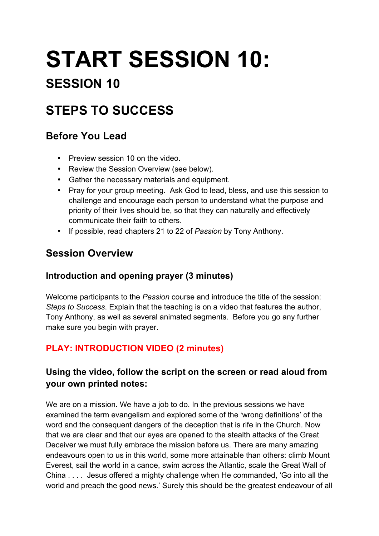# **START SESSION 10:**

# **SESSION 10**

# **STEPS TO SUCCESS**

## **Before You Lead**

- Preview session 10 on the video.
- Review the Session Overview (see below).
- Gather the necessary materials and equipment.
- Pray for your group meeting. Ask God to lead, bless, and use this session to challenge and encourage each person to understand what the purpose and priority of their lives should be, so that they can naturally and effectively communicate their faith to others.
- If possible, read chapters 21 to 22 of *Passion* by Tony Anthony.

### **Session Overview**

### **Introduction and opening prayer (3 minutes)**

Welcome participants to the *Passion* course and introduce the title of the session: *Steps to Success*. Explain that the teaching is on a video that features the author, Tony Anthony, as well as several animated segments. Before you go any further make sure you begin with prayer.

### **PLAY: INTRODUCTION VIDEO (2 minutes)**

### **Using the video, follow the script on the screen or read aloud from your own printed notes:**

We are on a mission. We have a job to do. In the previous sessions we have examined the term evangelism and explored some of the 'wrong definitions' of the word and the consequent dangers of the deception that is rife in the Church. Now that we are clear and that our eyes are opened to the stealth attacks of the Great Deceiver we must fully embrace the mission before us. There are many amazing endeavours open to us in this world, some more attainable than others: climb Mount Everest, sail the world in a canoe, swim across the Atlantic, scale the Great Wall of China . . . . Jesus offered a mighty challenge when He commanded, 'Go into all the world and preach the good news.' Surely this should be the greatest endeavour of all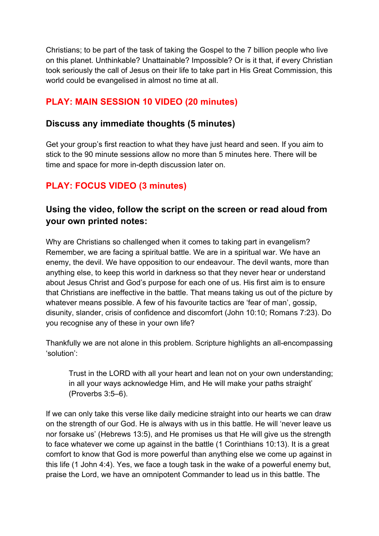Christians; to be part of the task of taking the Gospel to the 7 billion people who live on this planet. Unthinkable? Unattainable? Impossible? Or is it that, if every Christian took seriously the call of Jesus on their life to take part in His Great Commission, this world could be evangelised in almost no time at all.

### **PLAY: MAIN SESSION 10 VIDEO (20 minutes)**

#### **Discuss any immediate thoughts (5 minutes)**

Get your group's first reaction to what they have just heard and seen. If you aim to stick to the 90 minute sessions allow no more than 5 minutes here. There will be time and space for more in-depth discussion later on.

### **PLAY: FOCUS VIDEO (3 minutes)**

### **Using the video, follow the script on the screen or read aloud from your own printed notes:**

Why are Christians so challenged when it comes to taking part in evangelism? Remember, we are facing a spiritual battle. We are in a spiritual war. We have an enemy, the devil. We have opposition to our endeavour. The devil wants, more than anything else, to keep this world in darkness so that they never hear or understand about Jesus Christ and God's purpose for each one of us. His first aim is to ensure that Christians are ineffective in the battle. That means taking us out of the picture by whatever means possible. A few of his favourite tactics are 'fear of man', gossip, disunity, slander, crisis of confidence and discomfort (John 10:10; Romans 7:23). Do you recognise any of these in your own life?

Thankfully we are not alone in this problem. Scripture highlights an all-encompassing 'solution':

Trust in the LORD with all your heart and lean not on your own understanding; in all your ways acknowledge Him, and He will make your paths straight' (Proverbs 3:5–6).

If we can only take this verse like daily medicine straight into our hearts we can draw on the strength of our God. He is always with us in this battle. He will 'never leave us nor forsake us' (Hebrews 13:5), and He promises us that He will give us the strength to face whatever we come up against in the battle (1 Corinthians 10:13). It is a great comfort to know that God is more powerful than anything else we come up against in this life (1 John 4:4). Yes, we face a tough task in the wake of a powerful enemy but, praise the Lord, we have an omnipotent Commander to lead us in this battle. The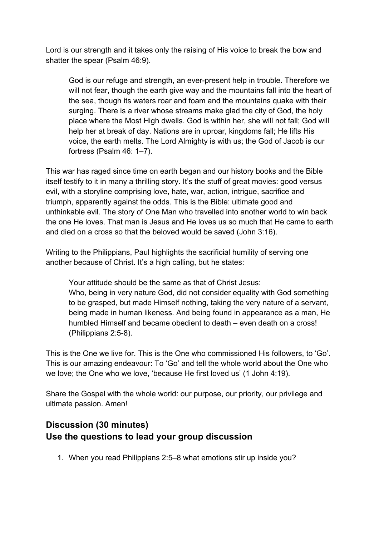Lord is our strength and it takes only the raising of His voice to break the bow and shatter the spear (Psalm 46:9).

God is our refuge and strength, an ever-present help in trouble. Therefore we will not fear, though the earth give way and the mountains fall into the heart of the sea, though its waters roar and foam and the mountains quake with their surging. There is a river whose streams make glad the city of God, the holy place where the Most High dwells. God is within her, she will not fall; God will help her at break of day. Nations are in uproar, kingdoms fall; He lifts His voice, the earth melts. The Lord Almighty is with us; the God of Jacob is our fortress (Psalm 46: 1–7).

This war has raged since time on earth began and our history books and the Bible itself testify to it in many a thrilling story. It's the stuff of great movies: good versus evil, with a storyline comprising love, hate, war, action, intrigue, sacrifice and triumph, apparently against the odds. This is the Bible: ultimate good and unthinkable evil. The story of One Man who travelled into another world to win back the one He loves. That man is Jesus and He loves us so much that He came to earth and died on a cross so that the beloved would be saved (John 3:16).

Writing to the Philippians, Paul highlights the sacrificial humility of serving one another because of Christ. It's a high calling, but he states:

Your attitude should be the same as that of Christ Jesus: Who, being in very nature God, did not consider equality with God something to be grasped, but made Himself nothing, taking the very nature of a servant, being made in human likeness. And being found in appearance as a man, He humbled Himself and became obedient to death – even death on a cross! (Philippians 2:5-8).

This is the One we live for. This is the One who commissioned His followers, to 'Go'. This is our amazing endeavour: To 'Go' and tell the whole world about the One who we love; the One who we love, 'because He first loved us' (1 John 4:19).

Share the Gospel with the whole world: our purpose, our priority, our privilege and ultimate passion. Amen!

### **Discussion (30 minutes) Use the questions to lead your group discussion**

1. When you read Philippians 2:5–8 what emotions stir up inside you?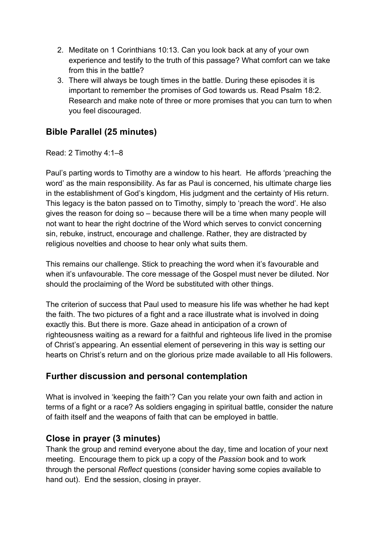- 2. Meditate on 1 Corinthians 10:13. Can you look back at any of your own experience and testify to the truth of this passage? What comfort can we take from this in the battle?
- 3. There will always be tough times in the battle. During these episodes it is important to remember the promises of God towards us. Read Psalm 18:2. Research and make note of three or more promises that you can turn to when you feel discouraged.

### **Bible Parallel (25 minutes)**

Read: 2 Timothy 4:1–8

Paul's parting words to Timothy are a window to his heart. He affords 'preaching the word' as the main responsibility. As far as Paul is concerned, his ultimate charge lies in the establishment of God's kingdom, His judgment and the certainty of His return. This legacy is the baton passed on to Timothy, simply to 'preach the word'. He also gives the reason for doing so – because there will be a time when many people will not want to hear the right doctrine of the Word which serves to convict concerning sin, rebuke, instruct, encourage and challenge. Rather, they are distracted by religious novelties and choose to hear only what suits them.

This remains our challenge. Stick to preaching the word when it's favourable and when it's unfavourable. The core message of the Gospel must never be diluted. Nor should the proclaiming of the Word be substituted with other things.

The criterion of success that Paul used to measure his life was whether he had kept the faith. The two pictures of a fight and a race illustrate what is involved in doing exactly this. But there is more. Gaze ahead in anticipation of a crown of righteousness waiting as a reward for a faithful and righteous life lived in the promise of Christ's appearing. An essential element of persevering in this way is setting our hearts on Christ's return and on the glorious prize made available to all His followers.

### **Further discussion and personal contemplation**

What is involved in 'keeping the faith'? Can you relate your own faith and action in terms of a fight or a race? As soldiers engaging in spiritual battle, consider the nature of faith itself and the weapons of faith that can be employed in battle.

### **Close in prayer (3 minutes)**

Thank the group and remind everyone about the day, time and location of your next meeting. Encourage them to pick up a copy of the *Passion* book and to work through the personal *Reflect* questions (consider having some copies available to hand out). End the session, closing in prayer.